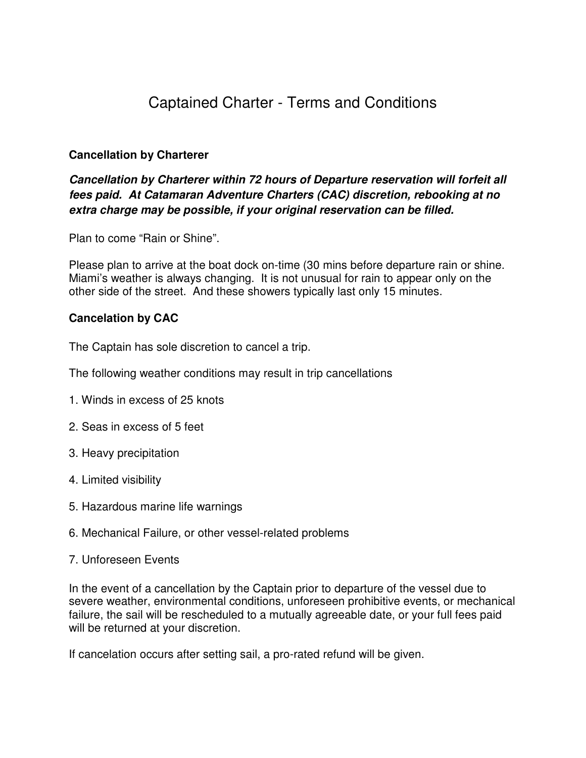# Captained Charter - Terms and Conditions

# **Cancellation by Charterer**

# **Cancellation by Charterer within 72 hours of Departure reservation will forfeit all fees paid. At Catamaran Adventure Charters (CAC) discretion, rebooking at no extra charge may be possible, if your original reservation can be filled.**

Plan to come "Rain or Shine".

Please plan to arrive at the boat dock on-time (30 mins before departure rain or shine. Miami's weather is always changing. It is not unusual for rain to appear only on the other side of the street. And these showers typically last only 15 minutes.

# **Cancelation by CAC**

The Captain has sole discretion to cancel a trip.

The following weather conditions may result in trip cancellations

- 1. Winds in excess of 25 knots
- 2. Seas in excess of 5 feet
- 3. Heavy precipitation
- 4. Limited visibility
- 5. Hazardous marine life warnings
- 6. Mechanical Failure, or other vessel-related problems
- 7. Unforeseen Events

In the event of a cancellation by the Captain prior to departure of the vessel due to severe weather, environmental conditions, unforeseen prohibitive events, or mechanical failure, the sail will be rescheduled to a mutually agreeable date, or your full fees paid will be returned at your discretion.

If cancelation occurs after setting sail, a pro-rated refund will be given.